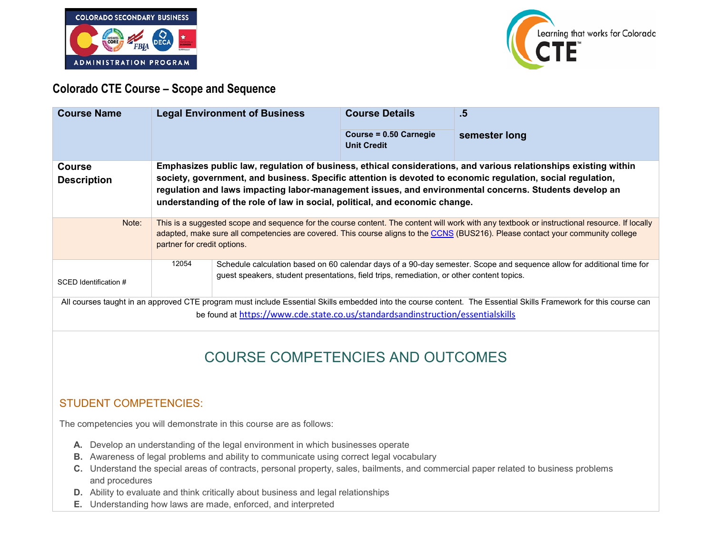



### **Colorado CTE Course – Scope and Sequence**

| <b>Course Name</b>                                                                                                                                                                                                                                  |                                                                                                                                                                                                                                                                                                                                                                                                                          | <b>Legal Environment of Business</b>                                                                                                                                                                               | <b>Course Details</b><br>Course = 0.50 Carnegie<br><b>Unit Credit</b> | $.5\,$<br>semester long |  |
|-----------------------------------------------------------------------------------------------------------------------------------------------------------------------------------------------------------------------------------------------------|--------------------------------------------------------------------------------------------------------------------------------------------------------------------------------------------------------------------------------------------------------------------------------------------------------------------------------------------------------------------------------------------------------------------------|--------------------------------------------------------------------------------------------------------------------------------------------------------------------------------------------------------------------|-----------------------------------------------------------------------|-------------------------|--|
| <b>Course</b><br><b>Description</b>                                                                                                                                                                                                                 | Emphasizes public law, regulation of business, ethical considerations, and various relationships existing within<br>society, government, and business. Specific attention is devoted to economic regulation, social regulation,<br>regulation and laws impacting labor-management issues, and environmental concerns. Students develop an<br>understanding of the role of law in social, political, and economic change. |                                                                                                                                                                                                                    |                                                                       |                         |  |
| Note:                                                                                                                                                                                                                                               | This is a suggested scope and sequence for the course content. The content will work with any textbook or instructional resource. If locally<br>adapted, make sure all competencies are covered. This course aligns to the CCNS (BUS216). Please contact your community college<br>partner for credit options.                                                                                                           |                                                                                                                                                                                                                    |                                                                       |                         |  |
| SCED Identification #                                                                                                                                                                                                                               | 12054                                                                                                                                                                                                                                                                                                                                                                                                                    | Schedule calculation based on 60 calendar days of a 90-day semester. Scope and sequence allow for additional time for<br>guest speakers, student presentations, field trips, remediation, or other content topics. |                                                                       |                         |  |
| All courses taught in an approved CTE program must include Essential Skills embedded into the course content. The Essential Skills Framework for this course can<br>be found at https://www.cde.state.co.us/standardsandinstruction/essentialskills |                                                                                                                                                                                                                                                                                                                                                                                                                          |                                                                                                                                                                                                                    |                                                                       |                         |  |

# COURSE COMPETENCIES AND OUTCOMES

### STUDENT COMPETENCIES:

The competencies you will demonstrate in this course are as follows:

- **A.** Develop an understanding of the legal environment in which businesses operate
- **B.** Awareness of legal problems and ability to communicate using correct legal vocabulary
- **C.** Understand the special areas of contracts, personal property, sales, bailments, and commercial paper related to business problems and procedures
- **D.** Ability to evaluate and think critically about business and legal relationships
- **E.** Understanding how laws are made, enforced, and interpreted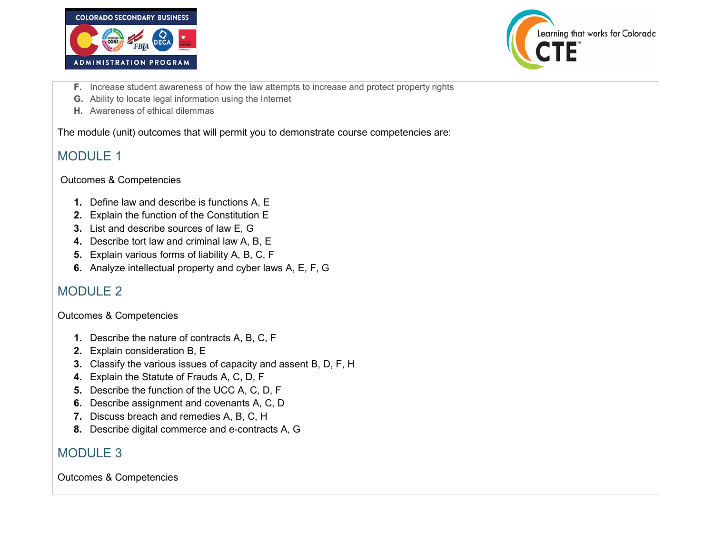



- **F.** Increase student awareness of how the law attempts to increase and protect property rights
- **G.** Ability to locate legal information using the Internet
- **H.** Awareness of ethical dilemmas

The module (unit) outcomes that will permit you to demonstrate course competencies are:

### MODULE 1

#### Outcomes & Competencies

- **1.** Define law and describe is functions A, E
- **2.** Explain the function of the Constitution E
- **3.** List and describe sources of law E, G
- **4.** Describe tort law and criminal law A, B, E
- **5.** Explain various forms of liability A, B, C, F
- **6.** Analyze intellectual property and cyber laws A, E, F, G

## MODULE 2

#### Outcomes & Competencies

- **1.** Describe the nature of contracts A, B, C, F
- **2.** Explain consideration B, E
- **3.** Classify the various issues of capacity and assent B, D, F, H
- **4.** Explain the Statute of Frauds A, C, D, F
- **5.** Describe the function of the UCC A, C, D, F
- **6.** Describe assignment and covenants A, C, D
- **7.** Discuss breach and remedies A, B, C, H
- **8.** Describe digital commerce and e-contracts A, G

### MODULE 3

Outcomes & Competencies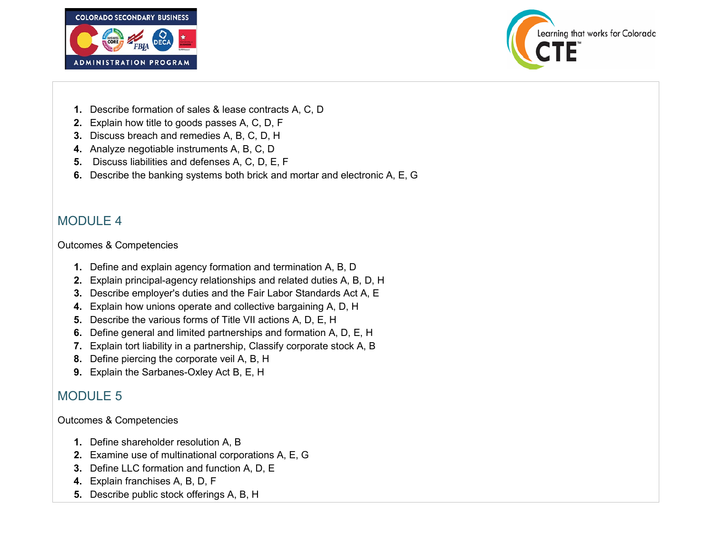



- **1.** Describe formation of sales & lease contracts A, C, D
- **2.** Explain how title to goods passes A, C, D, F
- **3.** Discuss breach and remedies A, B, C, D, H
- **4.** Analyze negotiable instruments A, B, C, D
- **5.** Discuss liabilities and defenses A, C, D, E, F
- **6.** Describe the banking systems both brick and mortar and electronic A, E, G

### MODULE 4

Outcomes & Competencies

- **1.** Define and explain agency formation and termination A, B, D
- **2.** Explain principal-agency relationships and related duties A, B, D, H
- **3.** Describe employer's duties and the Fair Labor Standards Act A, E
- **4.** Explain how unions operate and collective bargaining A, D, H
- **5.** Describe the various forms of Title VII actions A, D, E, H
- **6.** Define general and limited partnerships and formation A, D, E, H
- **7.** Explain tort liability in a partnership, Classify corporate stock A, B
- **8.** Define piercing the corporate veil A, B, H
- **9.** Explain the Sarbanes-Oxley Act B, E, H

### MODULE 5

Outcomes & Competencies

- **1.** Define shareholder resolution A, B
- **2.** Examine use of multinational corporations A, E, G
- **3.** Define LLC formation and function A, D, E
- **4.** Explain franchises A, B, D, F
- **5.** Describe public stock offerings A, B, H